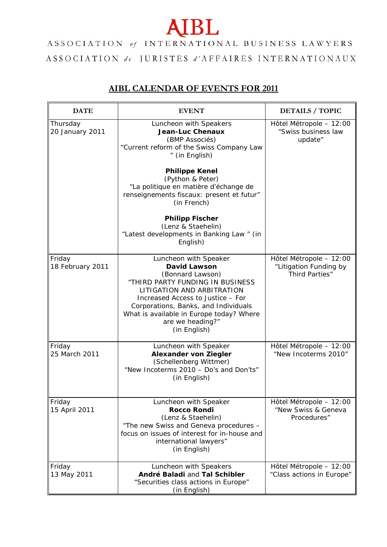## **AIBL**

## ASSOCIATION of INTERNATIONAL BUSINESS LAWYERS  $\begin{array}{lllllllllllllllllllllllllllllll} \textbf{ASSOCIATION} & \textit{de} & \texttt{JURISTES} & \textit{d'AFFAIRES} & \texttt{INTERNATIONAUX} \end{array}$

## **AIBL CALENDAR OF EVENTS FOR 2011**

| <b>DATE</b>                 | <b>EVENT</b>                                                                                                                                                                                                                                                                                                                                                                                | <b>DETAILS / TOPIC</b>                                                     |
|-----------------------------|---------------------------------------------------------------------------------------------------------------------------------------------------------------------------------------------------------------------------------------------------------------------------------------------------------------------------------------------------------------------------------------------|----------------------------------------------------------------------------|
| Thursday<br>20 January 2011 | Luncheon with Speakers<br><b>Jean-Luc Chenaux</b><br>(BMP Associés)<br>"Current reform of the Swiss Company Law<br>" (in English)<br><b>Philippe Kenel</b><br>(Python & Peter)<br>"La politique en matière d'échange de<br>renseignements fiscaux: present et futur"<br>(in French)<br><b>Philipp Fischer</b><br>(Lenz & Staehelin)<br>"Latest developments in Banking Law" (in<br>English) | Hôtel Métropole - 12:00<br>"Swiss business law<br>update"                  |
| Friday<br>18 February 2011  | Luncheon with Speaker<br><b>David Lawson</b><br>(Bonnard Lawson)<br>"THIRD PARTY FUNDING IN BUSINESS<br>LITIGATION AND ARBITRATION<br>Increased Access to Justice - For<br>Corporations, Banks, and Individuals<br>What is available in Europe today? Where<br>are we heading?"<br>(in English)                                                                                             | Hôtel Métropole - 12:00<br>"Litigation Funding by<br><b>Third Parties"</b> |
| Friday<br>25 March 2011     | Luncheon with Speaker<br><b>Alexander von Ziegler</b><br>(Schellenberg Wittmer)<br>"New Incoterms 2010 - Do's and Don'ts"<br>(in English)                                                                                                                                                                                                                                                   | Hôtel Métropole - 12:00<br>"New Incoterms 2010"                            |
| Friday<br>15 April 2011     | Luncheon with Speaker<br><b>Rocco Rondi</b><br>(Lenz & Staehelin)<br>"The new Swiss and Geneva procedures -<br>focus on issues of interest for in-house and<br>international lawyers"<br>(in English)                                                                                                                                                                                       | Hôtel Métropole - 12:00<br>"New Swiss & Geneva<br>Procedures"              |
| Friday<br>13 May 2011       | Luncheon with Speakers<br>André Baladi and Tal Schibler<br>"Securities class actions in Europe"<br>(in English)                                                                                                                                                                                                                                                                             | Hôtel Métropole - 12:00<br>"Class actions in Europe"                       |